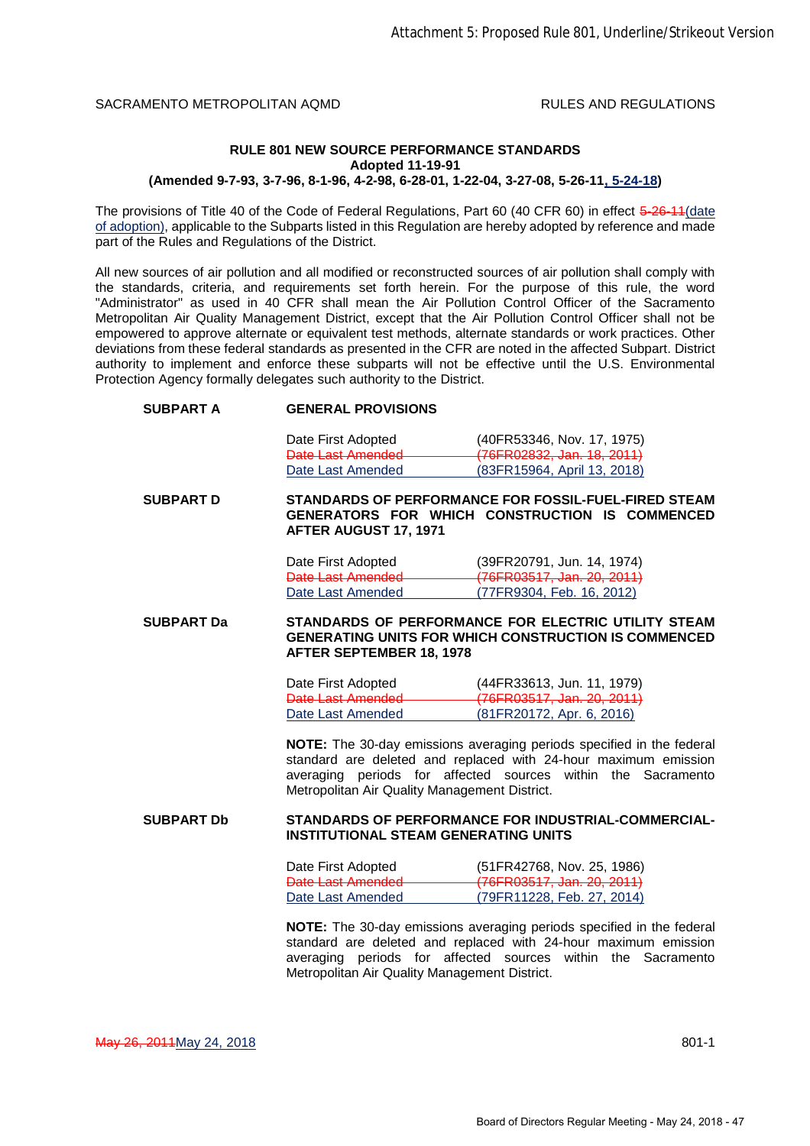## **RULE 801 NEW SOURCE PERFORMANCE STANDARDS Adopted 11-19-91**

**(Amended 9-7-93, 3-7-96, 8-1-96, 4-2-98, 6-28-01, 1-22-04, 3-27-08, 5-26-11, 5-24-18)**

The provisions of Title 40 of the Code of Federal Regulations, Part 60 (40 CFR 60) in effect 5-26-11 (date of adoption), applicable to the Subparts listed in this Regulation are hereby adopted by reference and made part of the Rules and Regulations of the District.

All new sources of air pollution and all modified or reconstructed sources of air pollution shall comply with the standards, criteria, and requirements set forth herein. For the purpose of this rule, the word "Administrator" as used in 40 CFR shall mean the Air Pollution Control Officer of the Sacramento Metropolitan Air Quality Management District, except that the Air Pollution Control Officer shall not be empowered to approve alternate or equivalent test methods, alternate standards or work practices. Other deviations from these federal standards as presented in the CFR are noted in the affected Subpart. District authority to implement and enforce these subparts will not be effective until the U.S. Environmental Protection Agency formally delegates such authority to the District.

## **SUBPART A GENERAL PROVISIONS**

Date First Adopted (40FR53346, Nov. 17, 1975) Date Last Amended (76FR02832, Jan. 18, 2011) Date Last Amended (83FR15964, April 13, 2018)

**SUBPART D STANDARDS OF PERFORMANCE FOR FOSSIL-FUEL-FIRED STEAM GENERATORS FOR WHICH CONSTRUCTION IS COMMENCED AFTER AUGUST 17, 1971**

| Date First Adopted | (39FR20791, Jun. 14, 1974) |
|--------------------|----------------------------|
| Date Last Amended  | (76FR03517, Jan. 20, 2011) |
| Date Last Amended  | (77FR9304, Feb. 16, 2012)  |

**SUBPART Da STANDARDS OF PERFORMANCE FOR ELECTRIC UTILITY STEAM GENERATING UNITS FOR WHICH CONSTRUCTION IS COMMENCED AFTER SEPTEMBER 18, 1978**

| Date First Adopted | (44FR33613, Jun. 11, 1979)       |
|--------------------|----------------------------------|
| Date Last Amended  | (76FR03517, Jan. 20, 2011)       |
| Date Last Amended  | <u>(81FR20172, Apr. 6, 2016)</u> |

**NOTE:** The 30-day emissions averaging periods specified in the federal standard are deleted and replaced with 24-hour maximum emission averaging periods for affected sources within the Sacramento Metropolitan Air Quality Management District.

## **SUBPART Db STANDARDS OF PERFORMANCE FOR INDUSTRIAL-COMMERCIAL-INSTITUTIONAL STEAM GENERATING UNITS**

| Date First Adopted | (51FR42768, Nov. 25, 1986) |
|--------------------|----------------------------|
| Date Last Amended  | (76FR03517, Jan. 20, 2011) |
| Date Last Amended  | (79FR11228, Feb. 27, 2014) |

**NOTE:** The 30-day emissions averaging periods specified in the federal standard are deleted and replaced with 24-hour maximum emission averaging periods for affected sources within the Sacramento Metropolitan Air Quality Management District.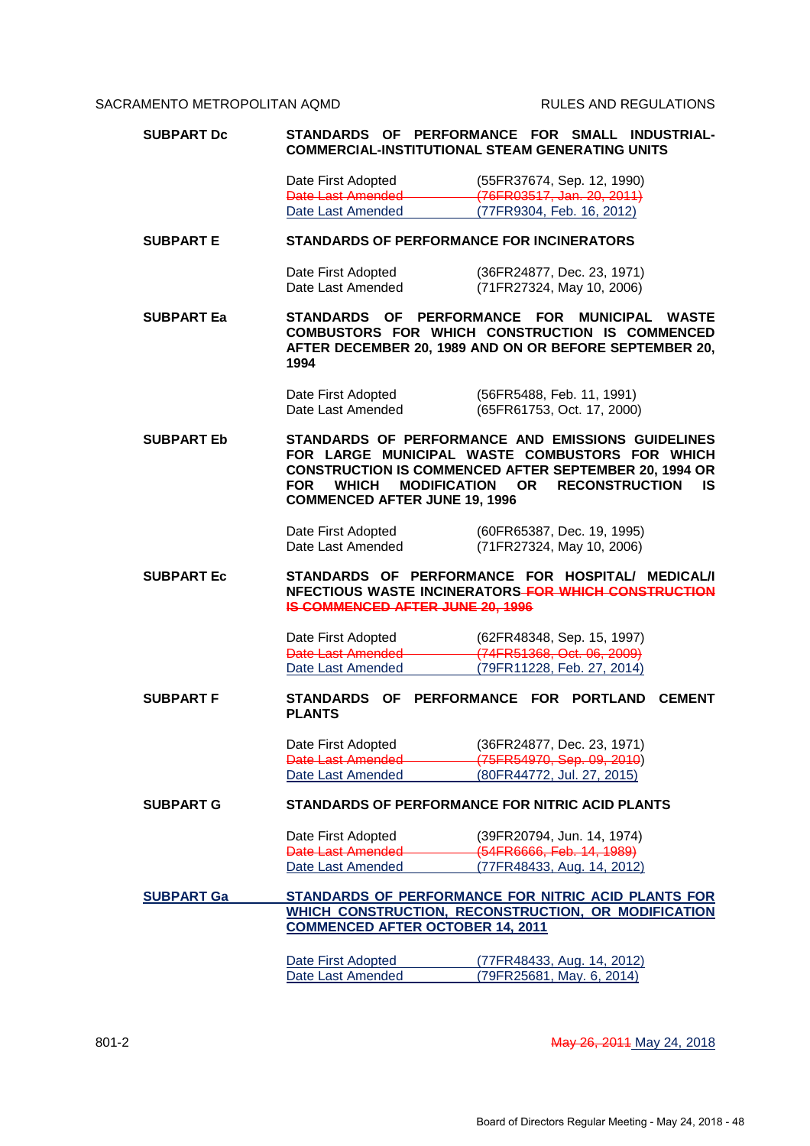| <b>SUBPART Dc</b> |                                                                                           | STANDARDS OF PERFORMANCE FOR SMALL INDUSTRIAL-<br><b>COMMERCIAL-INSTITUTIONAL STEAM GENERATING UNITS</b>                                                                                                        |
|-------------------|-------------------------------------------------------------------------------------------|-----------------------------------------------------------------------------------------------------------------------------------------------------------------------------------------------------------------|
|                   | Date First Adopted<br>Date Last Amended<br>Date Last Amended                              | (55FR37674, Sep. 12, 1990)<br>(76FR03517, Jan. 20, 2011)<br>(77FR9304, Feb. 16, 2012)                                                                                                                           |
| <b>SUBPART E</b>  | <b>STANDARDS OF PERFORMANCE FOR INCINERATORS</b>                                          |                                                                                                                                                                                                                 |
|                   | Date First Adopted<br>Date Last Amended                                                   | (36FR24877, Dec. 23, 1971)<br>(71FR27324, May 10, 2006)                                                                                                                                                         |
| <b>SUBPART Ea</b> | <b>STANDARDS</b><br>1994                                                                  | OF PERFORMANCE FOR<br><b>MUNICIPAL</b><br><b>WASTE</b><br>COMBUSTORS FOR WHICH CONSTRUCTION IS COMMENCED<br>AFTER DECEMBER 20, 1989 AND ON OR BEFORE SEPTEMBER 20,                                              |
|                   | Date First Adopted<br>Date Last Amended                                                   | (56FR5488, Feb. 11, 1991)<br>(65FR61753, Oct. 17, 2000)                                                                                                                                                         |
| <b>SUBPART Eb</b> | <b>FOR</b><br><b>WHICH</b><br><b>MODIFICATION</b><br><b>COMMENCED AFTER JUNE 19, 1996</b> | STANDARDS OF PERFORMANCE AND EMISSIONS GUIDELINES<br>FOR LARGE MUNICIPAL WASTE COMBUSTORS FOR WHICH<br><b>CONSTRUCTION IS COMMENCED AFTER SEPTEMBER 20, 1994 OR</b><br><b>RECONSTRUCTION</b><br><b>OR</b><br>IS |
|                   | Date First Adopted<br>Date Last Amended                                                   | (60FR65387, Dec. 19, 1995)<br>(71FR27324, May 10, 2006)                                                                                                                                                         |
| <b>SUBPART Ec</b> | STANDARDS OF PERFORMANCE FOR HOSPITAL/<br><b>IS COMMENCED AFTER JUNE 20, 1996</b>         | <b>MEDICAL/I</b><br>NFECTIOUS WASTE INCINERATORS-FOR WHICH CONSTRUCTION                                                                                                                                         |
|                   | Date First Adopted<br>Date Last Amended<br>Date Last Amended                              | (62FR48348, Sep. 15, 1997)<br>(74FR51368, Oct. 06, 2009)<br>(79FR11228, Feb. 27, 2014)                                                                                                                          |
| <b>SUBPART F</b>  | STANDARDS<br><b>OF</b><br><b>PLANTS</b>                                                   | PERFORMANCE FOR PORTLAND<br><b>CEMENT</b>                                                                                                                                                                       |
|                   | Date First Adopted<br><b>Date Last Amended</b><br>Date Last Amended                       | (36FR24877, Dec. 23, 1971)<br>(75FR54970, Sep. 09, 2010)<br>(80FR44772, Jul. 27, 2015)                                                                                                                          |
| <b>SUBPART G</b>  |                                                                                           | <b>STANDARDS OF PERFORMANCE FOR NITRIC ACID PLANTS</b>                                                                                                                                                          |
|                   | Date First Adopted<br>Date Last Amended<br>Date Last Amended                              | (39FR20794, Jun. 14, 1974)<br>(54FR6666, Feb. 14, 1989)<br>(77FR48433, Aug. 14, 2012)                                                                                                                           |
| <b>SUBPART Ga</b> | <b>COMMENCED AFTER OCTOBER 14, 2011</b>                                                   | STANDARDS OF PERFORMANCE FOR NITRIC ACID PLANTS FOR<br>WHICH CONSTRUCTION, RECONSTRUCTION, OR MODIFICATION                                                                                                      |
|                   | Date First Adopted<br>Date Last Amended                                                   | (77FR48433, Aug. 14, 2012)<br>(79FR25681, May. 6, 2014)                                                                                                                                                         |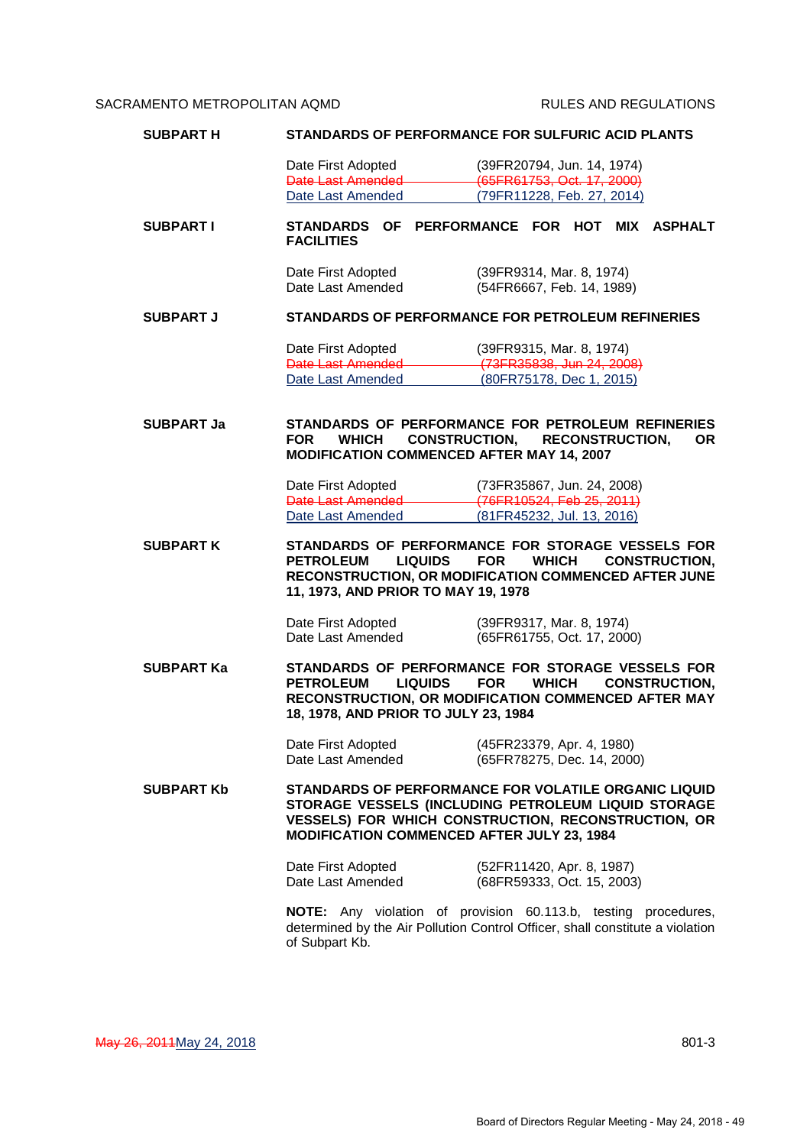| <b>SUBPART H</b>  |                                                                                       | <b>STANDARDS OF PERFORMANCE FOR SULFURIC ACID PLANTS</b>                                                                                                                  |
|-------------------|---------------------------------------------------------------------------------------|---------------------------------------------------------------------------------------------------------------------------------------------------------------------------|
|                   | Date First Adopted                                                                    | (39FR20794, Jun. 14, 1974)                                                                                                                                                |
|                   | Date Last Amended                                                                     | (65FR61753, Oct. 17, 2000)                                                                                                                                                |
|                   | Date Last Amended                                                                     | (79FR11228, Feb. 27, 2014)                                                                                                                                                |
| <b>SUBPART I</b>  | <b>STANDARDS</b><br>OF<br><b>FACILITIES</b>                                           | PERFORMANCE FOR HOT MIX ASPHALT                                                                                                                                           |
|                   | Date First Adopted<br>Date Last Amended                                               | (39FR9314, Mar. 8, 1974)<br>(54FR6667, Feb. 14, 1989)                                                                                                                     |
| <b>SUBPART J</b>  |                                                                                       | <b>STANDARDS OF PERFORMANCE FOR PETROLEUM REFINERIES</b>                                                                                                                  |
|                   | Date First Adopted<br>Date Last Amended <b>Date Last Amended</b><br>Date Last Amended | (39FR9315, Mar. 8, 1974)<br>(73FR35838, Jun 24, 2008)<br>(80FR75178, Dec 1, 2015)                                                                                         |
| <b>SUBPART Ja</b> | <b>FOR</b><br><b>WHICH</b><br>MODIFICATION COMMENCED AFTER MAY 14, 2007               | STANDARDS OF PERFORMANCE FOR PETROLEUM REFINERIES<br>CONSTRUCTION, RECONSTRUCTION,<br><b>OR</b>                                                                           |
|                   | Date First Adopted<br>Date Last Amended                                               | (73FR35867, Jun. 24, 2008)<br>(76FR10524, Feb 25, 2011)                                                                                                                   |
|                   | Date Last Amended                                                                     | (81FR45232, Jul. 13, 2016)                                                                                                                                                |
| <b>SUBPART K</b>  | <b>PETROLEUM</b><br><b>LIQUIDS</b><br>11, 1973, AND PRIOR TO MAY 19, 1978             | STANDARDS OF PERFORMANCE FOR STORAGE VESSELS FOR<br><b>FOR</b><br><b>WHICH</b><br><b>CONSTRUCTION.</b><br>RECONSTRUCTION, OR MODIFICATION COMMENCED AFTER JUNE            |
|                   | Date First Adopted<br>Date Last Amended                                               | (39FR9317, Mar. 8, 1974)<br>(65FR61755, Oct. 17, 2000)                                                                                                                    |
| <b>SUBPART Ka</b> | <b>PETROLEUM</b><br>LIQUIDS<br>18, 1978, AND PRIOR TO JULY 23, 1984                   | STANDARDS OF PERFORMANCE FOR STORAGE VESSELS FOR<br><b>FOR</b><br><b>WHICH</b><br><b>CONSTRUCTION,</b><br>RECONSTRUCTION, OR MODIFICATION COMMENCED AFTER MAY             |
|                   | Date First Adopted<br>Date Last Amended                                               | (45FR23379, Apr. 4, 1980)<br>(65FR78275, Dec. 14, 2000)                                                                                                                   |
| <b>SUBPART Kb</b> | MODIFICATION COMMENCED AFTER JULY 23, 1984                                            | STANDARDS OF PERFORMANCE FOR VOLATILE ORGANIC LIQUID<br>STORAGE VESSELS (INCLUDING PETROLEUM LIQUID STORAGE<br><b>VESSELS) FOR WHICH CONSTRUCTION, RECONSTRUCTION, OR</b> |
|                   | Date First Adopted<br>Date Last Amended                                               | (52FR11420, Apr. 8, 1987)<br>(68FR59333, Oct. 15, 2003)                                                                                                                   |
|                   | of Subpart Kb.                                                                        | NOTE: Any violation of provision 60.113.b, testing procedures,<br>determined by the Air Pollution Control Officer, shall constitute a violation                           |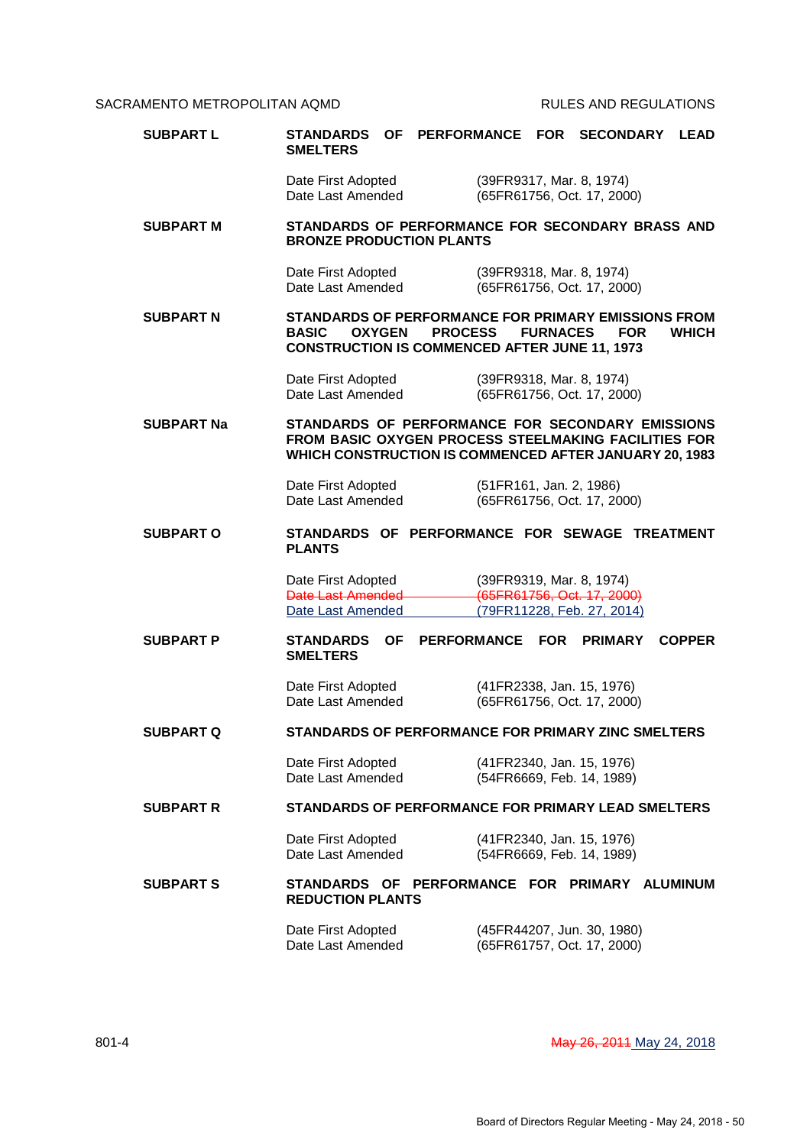| <b>SUBPART L</b>  | <b>STANDARDS</b><br>OF _<br><b>SMELTERS</b>                                                                                                                        | PERFORMANCE FOR SECONDARY LEAD |                                                                                      |               |
|-------------------|--------------------------------------------------------------------------------------------------------------------------------------------------------------------|--------------------------------|--------------------------------------------------------------------------------------|---------------|
|                   | Date First Adopted<br>Date Last Amended                                                                                                                            |                                | (39FR9317, Mar. 8, 1974)<br>(65FR61756, Oct. 17, 2000)                               |               |
| <b>SUBPART M</b>  | STANDARDS OF PERFORMANCE FOR SECONDARY BRASS AND<br><b>BRONZE PRODUCTION PLANTS</b>                                                                                |                                |                                                                                      |               |
|                   | Date First Adopted<br>Date Last Amended                                                                                                                            |                                | (39FR9318, Mar. 8, 1974)<br>(65FR61756, Oct. 17, 2000)                               |               |
| <b>SUBPART N</b>  | STANDARDS OF PERFORMANCE FOR PRIMARY EMISSIONS FROM<br><b>BASIC</b><br><b>OXYGEN</b><br><b>CONSTRUCTION IS COMMENCED AFTER JUNE 11, 1973</b>                       | <b>PROCESS</b>                 | <b>FURNACES</b><br><b>FOR</b>                                                        | <b>WHICH</b>  |
|                   | Date First Adopted<br>Date Last Amended                                                                                                                            |                                | (39FR9318, Mar. 8, 1974)<br>(65FR61756, Oct. 17, 2000)                               |               |
| <b>SUBPART Na</b> | STANDARDS OF PERFORMANCE FOR SECONDARY EMISSIONS<br>FROM BASIC OXYGEN PROCESS STEELMAKING FACILITIES FOR<br>WHICH CONSTRUCTION IS COMMENCED AFTER JANUARY 20, 1983 |                                |                                                                                      |               |
|                   | Date First Adopted<br>Date Last Amended                                                                                                                            |                                | (51FR161, Jan. 2, 1986)<br>(65FR61756, Oct. 17, 2000)                                |               |
| <b>SUBPART O</b>  | STANDARDS OF PERFORMANCE FOR SEWAGE TREATMENT<br><b>PLANTS</b>                                                                                                     |                                |                                                                                      |               |
|                   | Date First Adopted<br><b>Date Last Amended</b><br>Date Last Amended                                                                                                |                                | (39FR9319, Mar. 8, 1974)<br>(65FR61756, Oct. 17, 2000)<br>(79FR11228, Feb. 27, 2014) |               |
| <b>SUBPART P</b>  | <b>OF</b><br><b>STANDARDS</b><br><b>SMELTERS</b>                                                                                                                   | <b>PERFORMANCE</b>             | <b>FOR</b><br><b>PRIMARY</b>                                                         | <b>COPPER</b> |
|                   | Date First Adopted<br>Date Last Amended                                                                                                                            |                                | (41FR2338, Jan. 15, 1976)<br>(65FR61756, Oct. 17, 2000)                              |               |
| SUBPART Q         | STANDARDS OF PERFORMANCE FOR PRIMARY ZINC SMELTERS                                                                                                                 |                                |                                                                                      |               |
|                   | Date First Adopted<br>Date Last Amended                                                                                                                            |                                | (41FR2340, Jan. 15, 1976)<br>(54FR6669, Feb. 14, 1989)                               |               |
| <b>SUBPART R</b>  | <b>STANDARDS OF PERFORMANCE FOR PRIMARY LEAD SMELTERS</b>                                                                                                          |                                |                                                                                      |               |
|                   | Date First Adopted<br>Date Last Amended                                                                                                                            |                                | (41FR2340, Jan. 15, 1976)<br>(54FR6669, Feb. 14, 1989)                               |               |
| <b>SUBPART S</b>  | STANDARDS OF PERFORMANCE FOR PRIMARY ALUMINUM<br><b>REDUCTION PLANTS</b>                                                                                           |                                |                                                                                      |               |
|                   | Date First Adopted<br>Date Last Amended                                                                                                                            |                                | (45FR44207, Jun. 30, 1980)<br>(65FR61757, Oct. 17, 2000)                             |               |

801-4 **May 26, 2011 May 26, 2011** May 27, 2018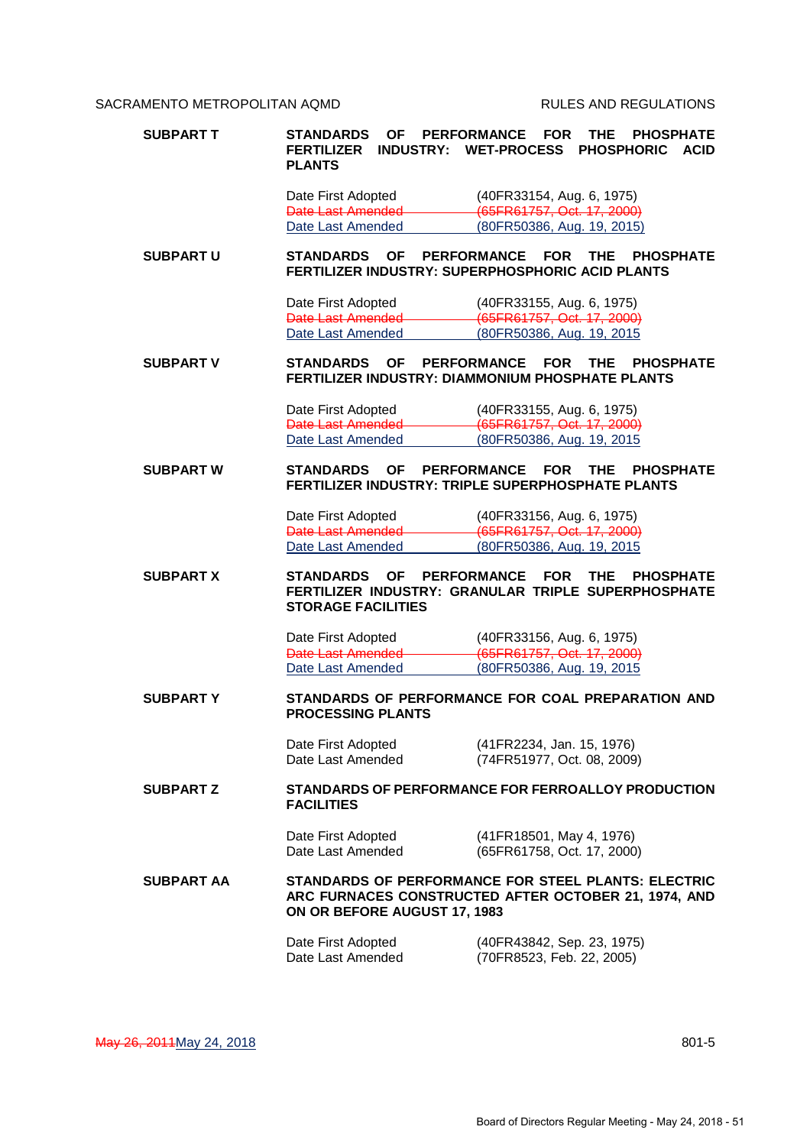| SUBPART T         | STANDARDS<br>ΟF<br><b>FERTILIZER</b><br><b>INDUSTRY:</b><br><b>PLANTS</b> | <b>PERFORMANCE</b><br><b>FOR</b><br>THE.<br><b>PHOSPHATE</b><br><b>WET-PROCESS</b><br><b>PHOSPHORIC</b><br><b>ACID</b>  |
|-------------------|---------------------------------------------------------------------------|-------------------------------------------------------------------------------------------------------------------------|
|                   | Date First Adopted                                                        | (40FR33154, Aug. 6, 1975)                                                                                               |
|                   | Date Last Amended                                                         | (65FR61757, Oct. 17, 2000)                                                                                              |
|                   | Date Last Amended                                                         | (80FR50386, Aug. 19, 2015)                                                                                              |
| <b>SUBPART U</b>  | <b>STANDARDS</b><br>ΟF                                                    | <b>PERFORMANCE</b><br><b>FOR</b><br>THE<br><b>PHOSPHATE</b><br><b>FERTILIZER INDUSTRY: SUPERPHOSPHORIC ACID PLANTS</b>  |
|                   | Date First Adopted                                                        | (40FR33155, Aug. 6, 1975)                                                                                               |
|                   | <b>Date Last Amended</b><br>Date Last Amended                             | (65FR61757, Oct. 17, 2000)<br>(80FR50386, Aug. 19, 2015                                                                 |
|                   |                                                                           |                                                                                                                         |
| SUBPART V         | <b>STANDARDS</b><br>ΟF                                                    | <b>PERFORMANCE</b><br><b>FOR</b><br>THE<br><b>PHOSPHATE</b><br>FERTILIZER INDUSTRY: DIAMMONIUM PHOSPHATE PLANTS         |
|                   | Date First Adopted                                                        | (40FR33155, Aug. 6, 1975)                                                                                               |
|                   | Date Last Amended<br>Date Last Amended                                    | (65FR61757, Oct. 17, 2000)<br>(80FR50386, Aug. 19, 2015                                                                 |
|                   |                                                                           |                                                                                                                         |
| <b>SUBPART W</b>  | <b>STANDARDS</b><br>ΟF                                                    | <b>PERFORMANCE</b><br><b>FOR</b><br>THE<br><b>PHOSPHATE</b><br><b>FERTILIZER INDUSTRY: TRIPLE SUPERPHOSPHATE PLANTS</b> |
|                   | Date First Adopted                                                        | (40FR33156, Aug. 6, 1975)                                                                                               |
|                   | Date Last Amended                                                         | (65FR61757, Oct. 17, 2000)                                                                                              |
|                   | Date Last Amended                                                         | (80FR50386, Aug. 19, 2015                                                                                               |
| <b>SUBPART X</b>  | <b>OF</b><br><b>STANDARDS</b><br><b>STORAGE FACILITIES</b>                | <b>PERFORMANCE</b><br><b>FOR</b><br>THE<br><b>PHOSPHATE</b><br>FERTILIZER INDUSTRY: GRANULAR TRIPLE SUPERPHOSPHATE      |
|                   | Date First Adopted                                                        | (40FR33156, Aug. 6, 1975)                                                                                               |
|                   | Date Last Amended                                                         | (65FR61757, Oct. 17, 2000)                                                                                              |
|                   | Date Last Amended                                                         | (80FR50386, Aug. 19, 2015                                                                                               |
| <b>SUBPARTY</b>   | <b>PROCESSING PLANTS</b>                                                  | STANDARDS OF PERFORMANCE FOR COAL PREPARATION AND                                                                       |
|                   | Date First Adopted<br>Date Last Amended                                   | (41FR2234, Jan. 15, 1976)<br>(74FR51977, Oct. 08, 2009)                                                                 |
| <b>SUBPART Z</b>  | <b>FACILITIES</b>                                                         | STANDARDS OF PERFORMANCE FOR FERROALLOY PRODUCTION                                                                      |
|                   | Date First Adopted<br>Date Last Amended                                   | (41FR18501, May 4, 1976)<br>(65FR61758, Oct. 17, 2000)                                                                  |
| <b>SUBPART AA</b> | ON OR BEFORE AUGUST 17, 1983                                              | STANDARDS OF PERFORMANCE FOR STEEL PLANTS: ELECTRIC<br>ARC FURNACES CONSTRUCTED AFTER OCTOBER 21, 1974, AND             |
|                   | Date First Adopted<br>Date Last Amended                                   | (40FR43842, Sep. 23, 1975)<br>(70FR8523, Feb. 22, 2005)                                                                 |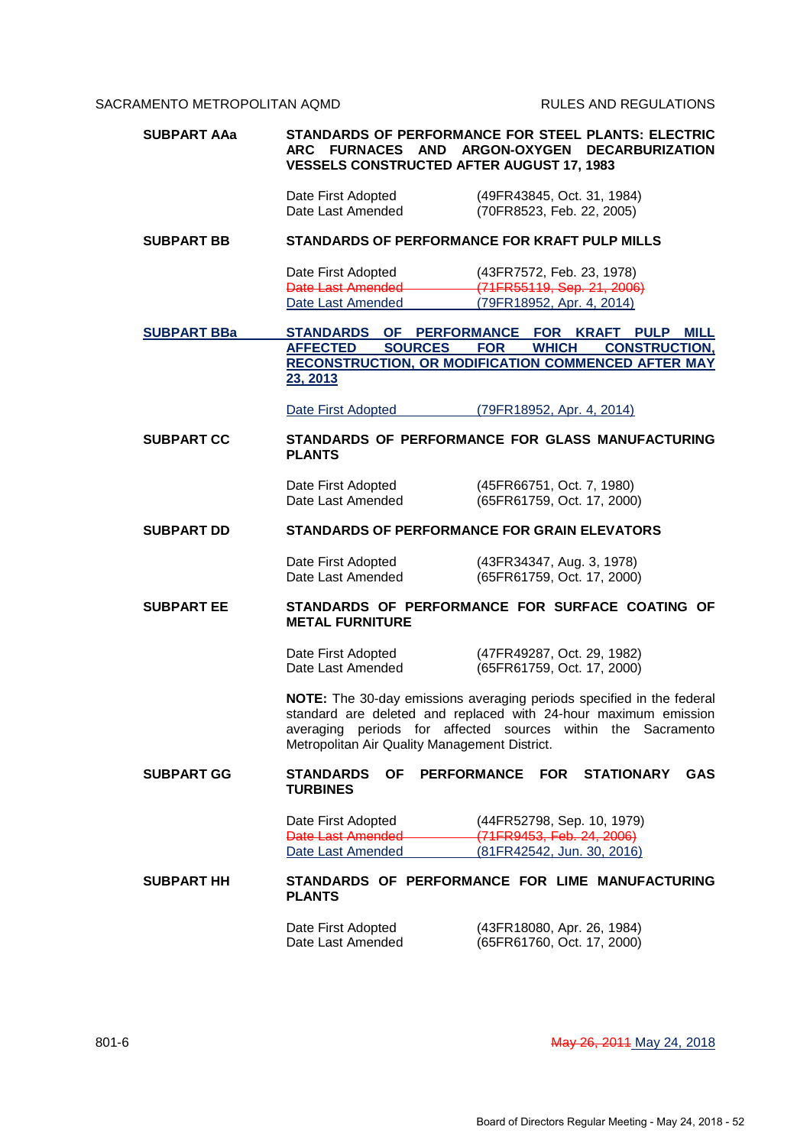| <b>SUBPART AAa</b> | <b>VESSELS CONSTRUCTED AFTER AUGUST 17, 1983</b>             | <b>STANDARDS OF PERFORMANCE FOR STEEL PLANTS: ELECTRIC</b><br>ARC FURNACES AND ARGON-OXYGEN DECARBURIZATION                                                                                              |
|--------------------|--------------------------------------------------------------|----------------------------------------------------------------------------------------------------------------------------------------------------------------------------------------------------------|
|                    | Date First Adopted<br>Date Last Amended                      | (49FR43845, Oct. 31, 1984)<br>(70FR8523, Feb. 22, 2005)                                                                                                                                                  |
| <b>SUBPART BB</b>  |                                                              | STANDARDS OF PERFORMANCE FOR KRAFT PULP MILLS                                                                                                                                                            |
|                    | Date First Adopted<br>Date Last Amended<br>Date Last Amended | (43FR7572, Feb. 23, 1978)<br>(71FR55119, Sep. 21, 2006)<br>(79FR18952, Apr. 4, 2014)                                                                                                                     |
| <b>SUBPART BBa</b> | <b>STANDARDS</b><br><b>AFFECTED</b><br><b>SOURCES</b>        | OF PERFORMANCE FOR KRAFT PULP MILL<br><b>FOR</b><br><b>WHICH</b><br><b>CONSTRUCTION,</b>                                                                                                                 |
|                    | 23, 2013                                                     | RECONSTRUCTION, OR MODIFICATION COMMENCED AFTER MAY                                                                                                                                                      |
|                    | Date First Adopted                                           | (79FR18952, Apr. 4, 2014)                                                                                                                                                                                |
| <b>SUBPART CC</b>  | <b>PLANTS</b>                                                | STANDARDS OF PERFORMANCE FOR GLASS MANUFACTURING                                                                                                                                                         |
|                    | Date First Adopted<br>Date Last Amended                      | (45FR66751, Oct. 7, 1980)<br>(65FR61759, Oct. 17, 2000)                                                                                                                                                  |
| <b>SUBPART DD</b>  |                                                              | STANDARDS OF PERFORMANCE FOR GRAIN ELEVATORS                                                                                                                                                             |
|                    | Date First Adopted<br>Date Last Amended                      | (43FR34347, Aug. 3, 1978)<br>(65FR61759, Oct. 17, 2000)                                                                                                                                                  |
| <b>SUBPART EE</b>  | <b>METAL FURNITURE</b>                                       | STANDARDS OF PERFORMANCE FOR SURFACE COATING OF                                                                                                                                                          |
|                    | Date First Adopted<br>Date Last Amended                      | (47FR49287, Oct. 29, 1982)<br>(65FR61759, Oct. 17, 2000)                                                                                                                                                 |
|                    | Metropolitan Air Quality Management District.                | NOTE: The 30-day emissions averaging periods specified in the federal<br>standard are deleted and replaced with 24-hour maximum emission<br>averaging periods for affected sources within the Sacramento |
| <b>SUBPART GG</b>  | STANDARDS<br><b>OF</b><br><b>TURBINES</b>                    | PERFORMANCE FOR STATIONARY<br><b>GAS</b>                                                                                                                                                                 |
|                    | Date First Adopted<br>Date Last Amended                      | (44FR52798, Sep. 10, 1979)<br>(71FR9453, Feb. 24, 2006)                                                                                                                                                  |
|                    | Date Last Amended                                            | (81FR42542, Jun. 30, 2016)                                                                                                                                                                               |
| <b>SUBPART HH</b>  | <b>PLANTS</b>                                                | STANDARDS OF PERFORMANCE FOR LIME MANUFACTURING                                                                                                                                                          |
|                    | Date First Adopted<br>Date Last Amended                      | (43FR18080, Apr. 26, 1984)<br>(65FR61760, Oct. 17, 2000)                                                                                                                                                 |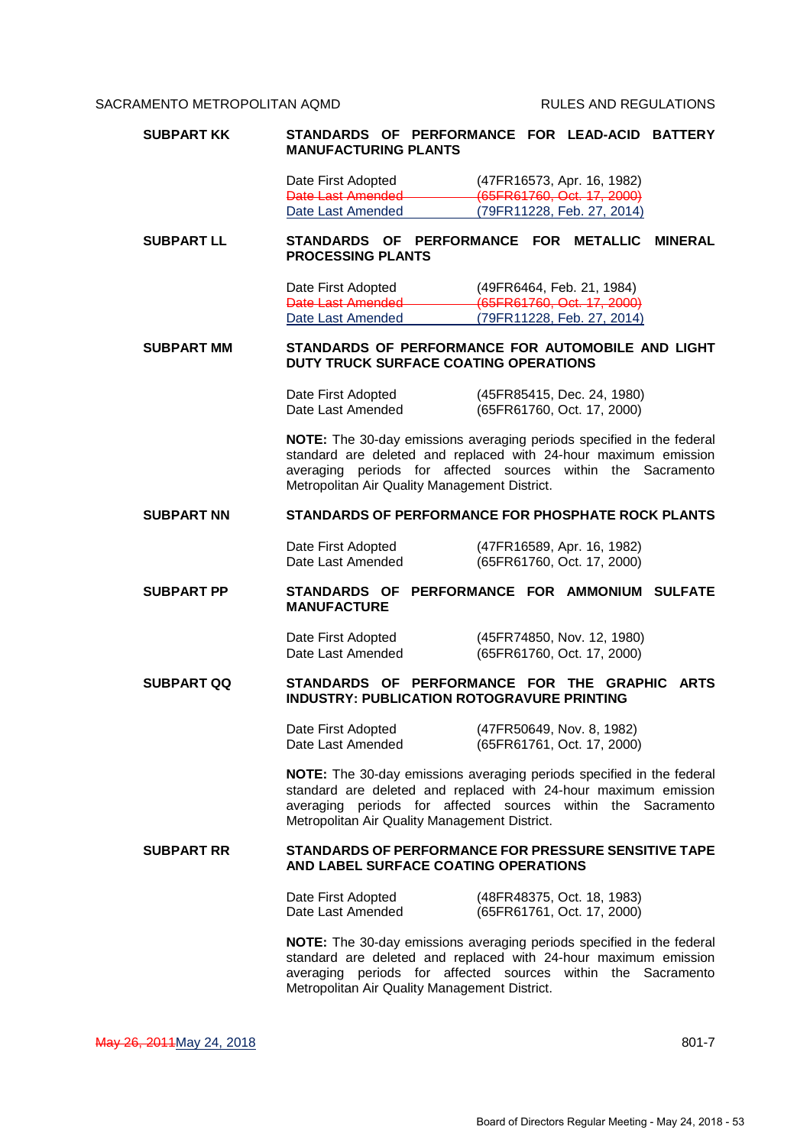| <b>SUBPART KK</b> | STANDARDS OF PERFORMANCE FOR LEAD-ACID BATTERY<br><b>MANUFACTURING PLANTS</b>                                                                                                                                                                             |
|-------------------|-----------------------------------------------------------------------------------------------------------------------------------------------------------------------------------------------------------------------------------------------------------|
|                   | (47FR16573, Apr. 16, 1982)<br>Date First Adopted<br>Date Last Amended<br>(65FR61760, Oct. 17, 2000)                                                                                                                                                       |
|                   | (79FR11228, Feb. 27, 2014)<br>Date Last Amended                                                                                                                                                                                                           |
| <b>SUBPART LL</b> | STANDARDS OF PERFORMANCE FOR METALLIC MINERAL<br><b>PROCESSING PLANTS</b>                                                                                                                                                                                 |
|                   | Date First Adopted<br>Date Last Amended<br>(49FR6464, Feb. 21, 1984)<br>(65FR61760, Oct. 17, 2000)                                                                                                                                                        |
|                   | (79FR11228, Feb. 27, 2014)<br>Date Last Amended                                                                                                                                                                                                           |
| <b>SUBPART MM</b> | STANDARDS OF PERFORMANCE FOR AUTOMOBILE AND LIGHT<br>DUTY TRUCK SURFACE COATING OPERATIONS                                                                                                                                                                |
|                   | Date First Adopted<br>(45FR85415, Dec. 24, 1980)<br>Date Last Amended<br>(65FR61760, Oct. 17, 2000)                                                                                                                                                       |
|                   | NOTE: The 30-day emissions averaging periods specified in the federal<br>standard are deleted and replaced with 24-hour maximum emission<br>averaging periods for affected sources within the Sacramento<br>Metropolitan Air Quality Management District. |
| <b>SUBPART NN</b> | <b>STANDARDS OF PERFORMANCE FOR PHOSPHATE ROCK PLANTS</b>                                                                                                                                                                                                 |
|                   | Date First Adopted<br>(47FR16589, Apr. 16, 1982)<br>Date Last Amended<br>(65FR61760, Oct. 17, 2000)                                                                                                                                                       |
| <b>SUBPART PP</b> | STANDARDS OF PERFORMANCE FOR AMMONIUM SULFATE<br><b>MANUFACTURE</b>                                                                                                                                                                                       |
|                   | Date First Adopted<br>(45FR74850, Nov. 12, 1980)<br>Date Last Amended<br>(65FR61760, Oct. 17, 2000)                                                                                                                                                       |
| <b>SUBPART QQ</b> | STANDARDS OF PERFORMANCE FOR THE GRAPHIC<br><b>ARTS</b><br><b>INDUSTRY: PUBLICATION ROTOGRAVURE PRINTING</b>                                                                                                                                              |
|                   | Date First Adopted<br>(47FR50649, Nov. 8, 1982)<br>Date Last Amended<br>(65FR61761, Oct. 17, 2000)                                                                                                                                                        |
|                   | NOTE: The 30-day emissions averaging periods specified in the federal<br>standard are deleted and replaced with 24-hour maximum emission<br>averaging periods for affected sources within the Sacramento<br>Metropolitan Air Quality Management District. |
| <b>SUBPART RR</b> | STANDARDS OF PERFORMANCE FOR PRESSURE SENSITIVE TAPE<br>AND LABEL SURFACE COATING OPERATIONS                                                                                                                                                              |
|                   | Date First Adopted<br>(48FR48375, Oct. 18, 1983)<br>Date Last Amended<br>(65FR61761, Oct. 17, 2000)                                                                                                                                                       |
|                   | NOTE: The 30-day emissions averaging periods specified in the federal<br>standard are deleted and replaced with 24-hour maximum emission<br>averaging periods for affected sources within the Sacramento<br>Metropolitan Air Quality Management District. |

May 26, 2011 May 24, 2018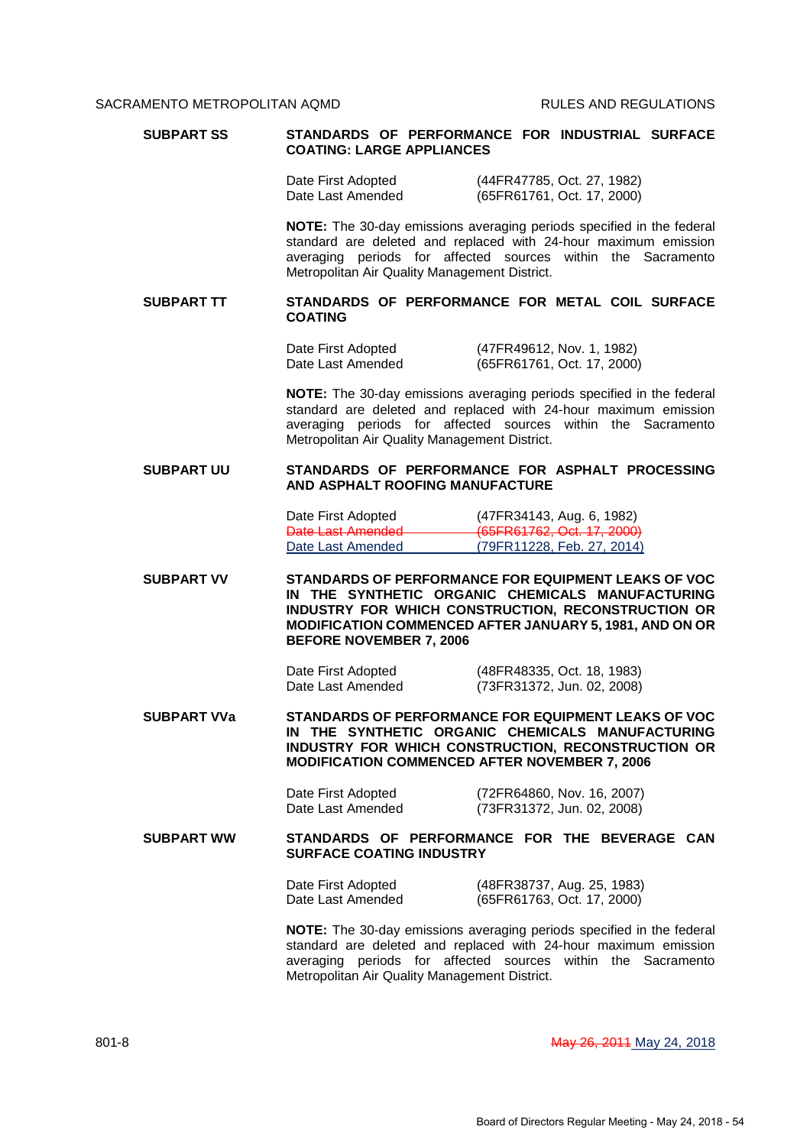| <b>SUBPART SS</b>  | STANDARDS OF PERFORMANCE FOR INDUSTRIAL SURFACE<br><b>COATING: LARGE APPLIANCES</b>                                                                                                                                                                        |
|--------------------|------------------------------------------------------------------------------------------------------------------------------------------------------------------------------------------------------------------------------------------------------------|
|                    | (44FR47785, Oct. 27, 1982)<br>Date First Adopted<br>Date Last Amended<br>(65FR61761, Oct. 17, 2000)                                                                                                                                                        |
|                    | NOTE: The 30-day emissions averaging periods specified in the federal<br>standard are deleted and replaced with 24-hour maximum emission<br>averaging periods for affected sources within the Sacramento<br>Metropolitan Air Quality Management District.  |
| <b>SUBPART TT</b>  | STANDARDS OF PERFORMANCE FOR METAL COIL SURFACE<br><b>COATING</b>                                                                                                                                                                                          |
|                    | (47FR49612, Nov. 1, 1982)<br>Date First Adopted<br>Date Last Amended<br>(65FR61761, Oct. 17, 2000)                                                                                                                                                         |
|                    | NOTE: The 30-day emissions averaging periods specified in the federal<br>standard are deleted and replaced with 24-hour maximum emission<br>averaging periods for affected sources within the Sacramento<br>Metropolitan Air Quality Management District.  |
| <b>SUBPART UU</b>  | STANDARDS OF PERFORMANCE FOR ASPHALT PROCESSING<br>AND ASPHALT ROOFING MANUFACTURE                                                                                                                                                                         |
|                    | Date First Adopted<br>(47FR34143, Aug. 6, 1982)<br>Date Last Amended <b>Date Last Amended</b><br>(65FR61762, Oct. 17, 2000)<br>Date Last Amended<br>(79FR11228, Feb. 27, 2014)                                                                             |
| <b>SUBPART VV</b>  | STANDARDS OF PERFORMANCE FOR EQUIPMENT LEAKS OF VOC<br>IN THE SYNTHETIC ORGANIC CHEMICALS MANUFACTURING<br>INDUSTRY FOR WHICH CONSTRUCTION, RECONSTRUCTION OR<br>MODIFICATION COMMENCED AFTER JANUARY 5, 1981, AND ON OR<br><b>BEFORE NOVEMBER 7, 2006</b> |
|                    | Date First Adopted<br>(48FR48335, Oct. 18, 1983)<br>Date Last Amended<br>(73FR31372, Jun. 02, 2008)                                                                                                                                                        |
| <b>SUBPART VVa</b> | STANDARDS OF PERFORMANCE FOR EQUIPMENT LEAKS OF VOC<br>IN THE SYNTHETIC ORGANIC CHEMICALS MANUFACTURING<br>INDUSTRY FOR WHICH CONSTRUCTION, RECONSTRUCTION OR<br><b>MODIFICATION COMMENCED AFTER NOVEMBER 7, 2006</b>                                      |
|                    | Date First Adopted<br>(72FR64860, Nov. 16, 2007)<br>Date Last Amended<br>(73FR31372, Jun. 02, 2008)                                                                                                                                                        |
| <b>SUBPART WW</b>  | STANDARDS OF PERFORMANCE FOR THE BEVERAGE CAN<br><b>SURFACE COATING INDUSTRY</b>                                                                                                                                                                           |
|                    | Date First Adopted<br>(48FR38737, Aug. 25, 1983)<br>(65FR61763, Oct. 17, 2000)<br>Date Last Amended                                                                                                                                                        |
|                    | NOTE: The 30-day emissions averaging periods specified in the federal<br>standard are deleted and replaced with 24-hour maximum emission<br>averaging periods for affected sources within the Sacramento<br>Metropolitan Air Quality Management District.  |

801-8 May 26, 2014 May 26, 2014 May 26, 2014 May 24, 2018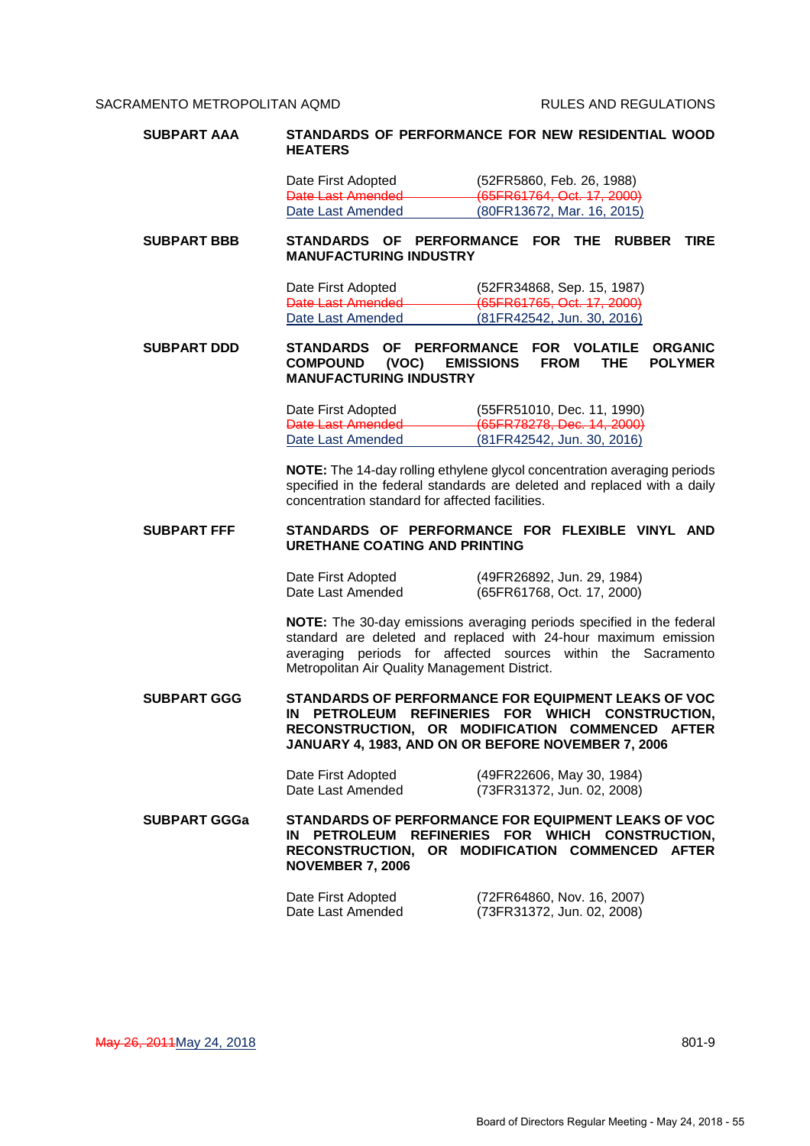| <b>SUBPART AAA</b>  | <b>HEATERS</b>                                                                                  | STANDARDS OF PERFORMANCE FOR NEW RESIDENTIAL WOOD                                                                                                                                                            |
|---------------------|-------------------------------------------------------------------------------------------------|--------------------------------------------------------------------------------------------------------------------------------------------------------------------------------------------------------------|
|                     | Date First Adopted                                                                              | (52FR5860, Feb. 26, 1988)                                                                                                                                                                                    |
|                     | Date Last Amended<br>Date Last Amended                                                          | (65FR61764, Oct. 17, 2000)<br>(80FR13672, Mar. 16, 2015)                                                                                                                                                     |
| <b>SUBPART BBB</b>  | <b>MANUFACTURING INDUSTRY</b>                                                                   | STANDARDS OF PERFORMANCE FOR THE RUBBER<br><b>TIRE</b>                                                                                                                                                       |
|                     | Date First Adopted<br><b>Date Last Amended</b>                                                  | (52FR34868, Sep. 15, 1987)<br>(65FR61765, Oct. 17, 2000)                                                                                                                                                     |
|                     | Date Last Amended                                                                               | (81FR42542, Jun. 30, 2016)                                                                                                                                                                                   |
| <b>SUBPART DDD</b>  | OF PERFORMANCE<br><b>STANDARDS</b><br><b>COMPOUND</b><br>(VOC)<br><b>MANUFACTURING INDUSTRY</b> | FOR VOLATILE<br><b>ORGANIC</b><br><b>POLYMER</b><br><b>EMISSIONS</b><br><b>FROM</b><br><b>THE</b>                                                                                                            |
|                     | Date First Adopted<br>Date Last Amended<br>Date Last Amended                                    | (55FR51010, Dec. 11, 1990)<br>(65FR78278, Dec. 14, 2000)<br>(81FR42542, Jun. 30, 2016)                                                                                                                       |
|                     | concentration standard for affected facilities.                                                 | NOTE: The 14-day rolling ethylene glycol concentration averaging periods<br>specified in the federal standards are deleted and replaced with a daily                                                         |
| <b>SUBPART FFF</b>  | <b>URETHANE COATING AND PRINTING</b>                                                            | STANDARDS OF PERFORMANCE FOR FLEXIBLE VINYL AND                                                                                                                                                              |
|                     | Date First Adopted<br>Date Last Amended                                                         | (49FR26892, Jun. 29, 1984)<br>(65FR61768, Oct. 17, 2000)                                                                                                                                                     |
|                     | Metropolitan Air Quality Management District.                                                   | NOTE: The 30-day emissions averaging periods specified in the federal<br>standard are deleted and replaced with 24-hour maximum emission<br>averaging periods for affected sources within the Sacramento     |
| <b>SUBPART GGG</b>  | ΙN                                                                                              | STANDARDS OF PERFORMANCE FOR EQUIPMENT LEAKS OF VOC<br>PETROLEUM REFINERIES FOR WHICH CONSTRUCTION,<br>RECONSTRUCTION, OR MODIFICATION COMMENCED AFTER<br>JANUARY 4, 1983, AND ON OR BEFORE NOVEMBER 7, 2006 |
|                     | Date First Adopted<br>Date Last Amended                                                         | (49FR22606, May 30, 1984)<br>(73FR31372, Jun. 02, 2008)                                                                                                                                                      |
| <b>SUBPART GGGa</b> | <b>NOVEMBER 7, 2006</b>                                                                         | STANDARDS OF PERFORMANCE FOR EQUIPMENT LEAKS OF VOC<br>IN PETROLEUM REFINERIES FOR WHICH CONSTRUCTION,<br>RECONSTRUCTION, OR MODIFICATION COMMENCED AFTER                                                    |
|                     | Date First Adopted<br>Date Last Amended                                                         | (72FR64860, Nov. 16, 2007)<br>(73FR31372, Jun. 02, 2008)                                                                                                                                                     |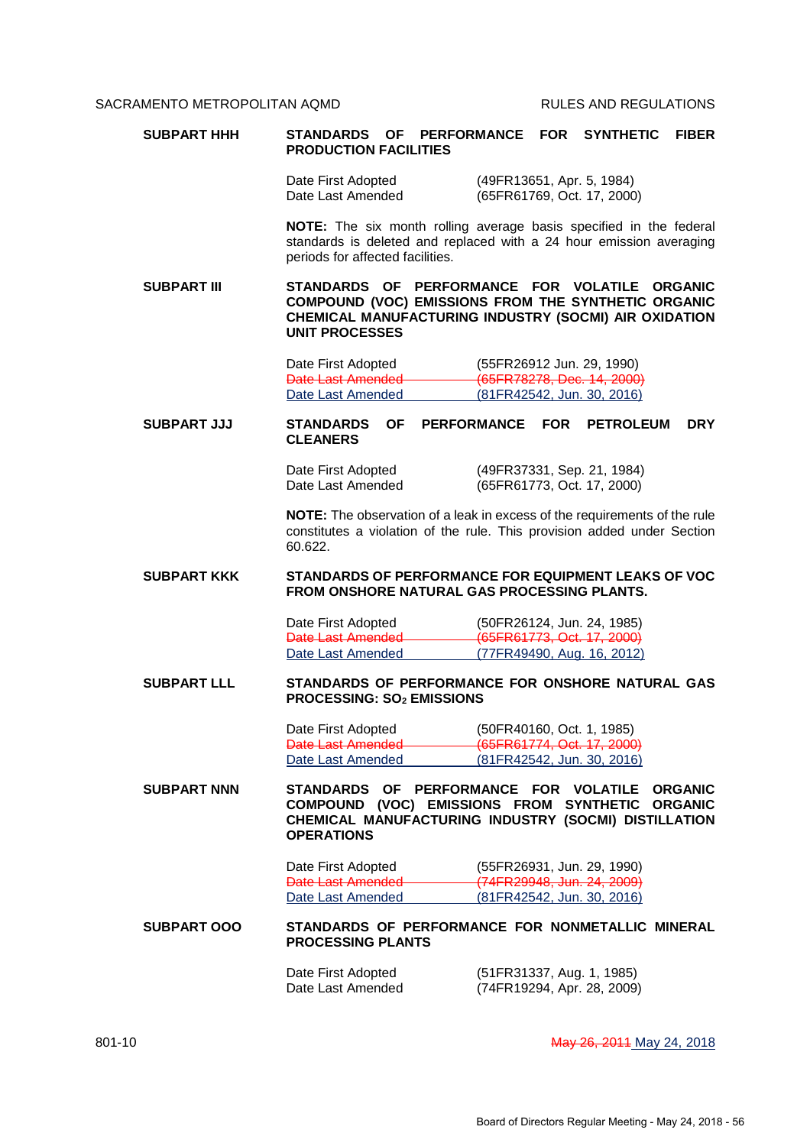| <b>SUBPART HHH</b> | OF PERFORMANCE<br><b>STANDARDS</b><br><b>FOR</b><br><b>SYNTHETIC</b><br><b>FIBER</b><br><b>PRODUCTION FACILITIES</b>                                                                   |
|--------------------|----------------------------------------------------------------------------------------------------------------------------------------------------------------------------------------|
|                    | Date First Adopted<br>(49FR13651, Apr. 5, 1984)<br>Date Last Amended<br>(65FR61769, Oct. 17, 2000)                                                                                     |
|                    | NOTE: The six month rolling average basis specified in the federal<br>standards is deleted and replaced with a 24 hour emission averaging<br>periods for affected facilities.          |
| <b>SUBPART III</b> | STANDARDS OF PERFORMANCE FOR VOLATILE ORGANIC<br>COMPOUND (VOC) EMISSIONS FROM THE SYNTHETIC ORGANIC<br>CHEMICAL MANUFACTURING INDUSTRY (SOCMI) AIR OXIDATION<br><b>UNIT PROCESSES</b> |
|                    | Date First Adopted<br>(55FR26912 Jun. 29, 1990)                                                                                                                                        |
|                    | Date Last Amended<br>(65FR78278, Dec. 14, 2000)<br>(81FR42542, Jun. 30, 2016)<br>Date Last Amended                                                                                     |
|                    |                                                                                                                                                                                        |
| <b>SUBPART JJJ</b> | <b>OF</b><br><b>DRY</b><br><b>STANDARDS</b><br><b>PERFORMANCE</b><br><b>FOR</b><br><b>PETROLEUM</b><br><b>CLEANERS</b>                                                                 |
|                    | Date First Adopted<br>(49FR37331, Sep. 21, 1984)<br>Date Last Amended<br>(65FR61773, Oct. 17, 2000)                                                                                    |
|                    | NOTE: The observation of a leak in excess of the requirements of the rule<br>constitutes a violation of the rule. This provision added under Section<br>60.622.                        |
| <b>SUBPART KKK</b> | STANDARDS OF PERFORMANCE FOR EQUIPMENT LEAKS OF VOC<br><b>FROM ONSHORE NATURAL GAS PROCESSING PLANTS.</b>                                                                              |
|                    | Date First Adopted<br>(50FR26124, Jun. 24, 1985)                                                                                                                                       |
|                    | Date Last Amended<br>(65FR61773, Oct. 17, 2000)<br>(77FR49490, Aug. 16, 2012)<br>Date Last Amended                                                                                     |
|                    |                                                                                                                                                                                        |
| <b>SUBPART LLL</b> | STANDARDS OF PERFORMANCE FOR ONSHORE NATURAL GAS<br><b>PROCESSING: SO<sub>2</sub> EMISSIONS</b>                                                                                        |
|                    | (50FR40160, Oct. 1, 1985)<br>Date First Adopted                                                                                                                                        |
|                    | (65FR61774, Oct. 17, 2000)<br>Date Last Amended<br>(81FR42542, Jun. 30, 2016)<br>Date Last Amended                                                                                     |
| <b>SUBPART NNN</b> | STANDARDS OF PERFORMANCE FOR VOLATILE ORGANIC<br>COMPOUND (VOC) EMISSIONS FROM SYNTHETIC ORGANIC<br>CHEMICAL MANUFACTURING INDUSTRY (SOCMI) DISTILLATION<br><b>OPERATIONS</b>          |
|                    | Date First Adopted<br>(55FR26931, Jun. 29, 1990)<br>(74FR29948, Jun. 24, 2009)<br>Date Last Amended                                                                                    |
|                    | Date Last Amended<br>(81FR42542, Jun. 30, 2016)                                                                                                                                        |
| <b>SUBPART OOO</b> | STANDARDS OF PERFORMANCE FOR NONMETALLIC MINERAL<br><b>PROCESSING PLANTS</b>                                                                                                           |
|                    | (51FR31337, Aug. 1, 1985)<br>Date First Adopted<br>Date Last Amended<br>(74FR19294, Apr. 28, 2009)                                                                                     |

801-10 **May 26, 2011 May 26, 2014** May 24, 2018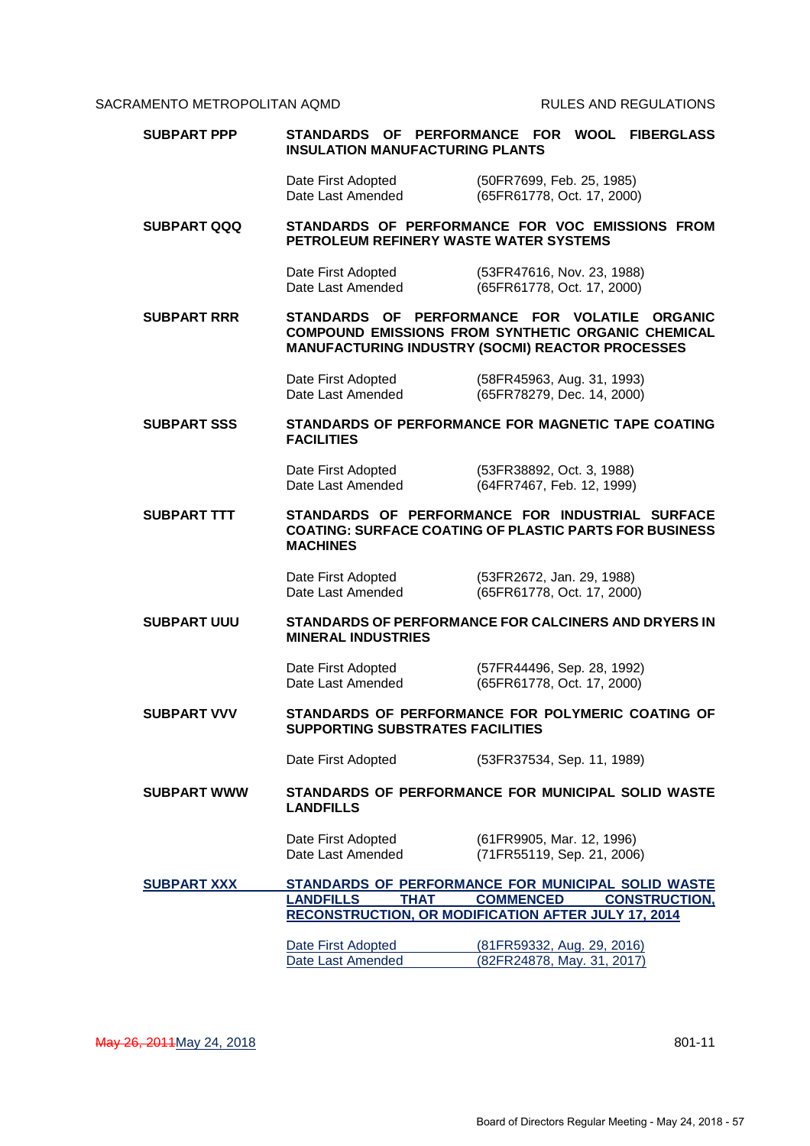| Date First Adopted<br>(50FR7699, Feb. 25, 1985)<br>Date Last Amended<br>(65FR61778, Oct. 17, 2000)<br>STANDARDS OF PERFORMANCE FOR VOC EMISSIONS FROM<br><b>SUBPART QQQ</b><br>PETROLEUM REFINERY WASTE WATER SYSTEMS |                                                   |  |
|-----------------------------------------------------------------------------------------------------------------------------------------------------------------------------------------------------------------------|---------------------------------------------------|--|
|                                                                                                                                                                                                                       |                                                   |  |
|                                                                                                                                                                                                                       |                                                   |  |
| Date First Adopted<br>(53FR47616, Nov. 23, 1988)<br>Date Last Amended<br>(65FR61778, Oct. 17, 2000)                                                                                                                   |                                                   |  |
| <b>SUBPART RRR</b><br>STANDARDS OF PERFORMANCE FOR VOLATILE ORGANIC<br><b>COMPOUND EMISSIONS FROM SYNTHETIC ORGANIC CHEMICAL</b><br><b>MANUFACTURING INDUSTRY (SOCMI) REACTOR PROCESSES</b>                           |                                                   |  |
| Date First Adopted<br>(58FR45963, Aug. 31, 1993)<br>Date Last Amended<br>(65FR78279, Dec. 14, 2000)                                                                                                                   |                                                   |  |
| <b>SUBPART SSS</b><br>STANDARDS OF PERFORMANCE FOR MAGNETIC TAPE COATING<br><b>FACILITIES</b>                                                                                                                         |                                                   |  |
| Date First Adopted<br>(53FR38892, Oct. 3, 1988)<br>Date Last Amended<br>(64FR7467, Feb. 12, 1999)                                                                                                                     |                                                   |  |
| <b>SUBPART TTT</b><br>STANDARDS OF PERFORMANCE FOR INDUSTRIAL SURFACE<br><b>COATING: SURFACE COATING OF PLASTIC PARTS FOR BUSINESS</b><br><b>MACHINES</b>                                                             |                                                   |  |
| Date First Adopted<br>(53FR2672, Jan. 29, 1988)<br>Date Last Amended<br>(65FR61778, Oct. 17, 2000)                                                                                                                    |                                                   |  |
| STANDARDS OF PERFORMANCE FOR CALCINERS AND DRYERS IN<br><b>SUBPART UUU</b><br><b>MINERAL INDUSTRIES</b>                                                                                                               |                                                   |  |
| Date First Adopted<br>(57FR44496, Sep. 28, 1992)<br>Date Last Amended<br>(65FR61778, Oct. 17, 2000)                                                                                                                   |                                                   |  |
| <b>SUBPART VVV</b><br><b>SUPPORTING SUBSTRATES FACILITIES</b>                                                                                                                                                         | STANDARDS OF PERFORMANCE FOR POLYMERIC COATING OF |  |
| Date First Adopted<br>(53FR37534, Sep. 11, 1989)                                                                                                                                                                      |                                                   |  |
| STANDARDS OF PERFORMANCE FOR MUNICIPAL SOLID WASTE<br><b>SUBPART WWW</b><br><b>LANDFILLS</b>                                                                                                                          |                                                   |  |
| (61FR9905, Mar. 12, 1996)<br>Date First Adopted<br>Date Last Amended<br>(71FR55119, Sep. 21, 2006)                                                                                                                    |                                                   |  |
| <b>SUBPART XXX</b><br>STANDARDS OF PERFORMANCE FOR MUNICIPAL SOLID WASTE                                                                                                                                              |                                                   |  |
| <b>COMMENCED</b><br><b>LANDFILLS</b><br><b>THAT</b><br><b>CONSTRUCTION,</b><br><b>RECONSTRUCTION, OR MODIFICATION AFTER JULY 17, 2014</b>                                                                             |                                                   |  |
| Date First Adopted<br>(81FR59332, Aug. 29, 2016)<br>Date Last Amended<br>(82FR24878, May. 31, 2017)                                                                                                                   |                                                   |  |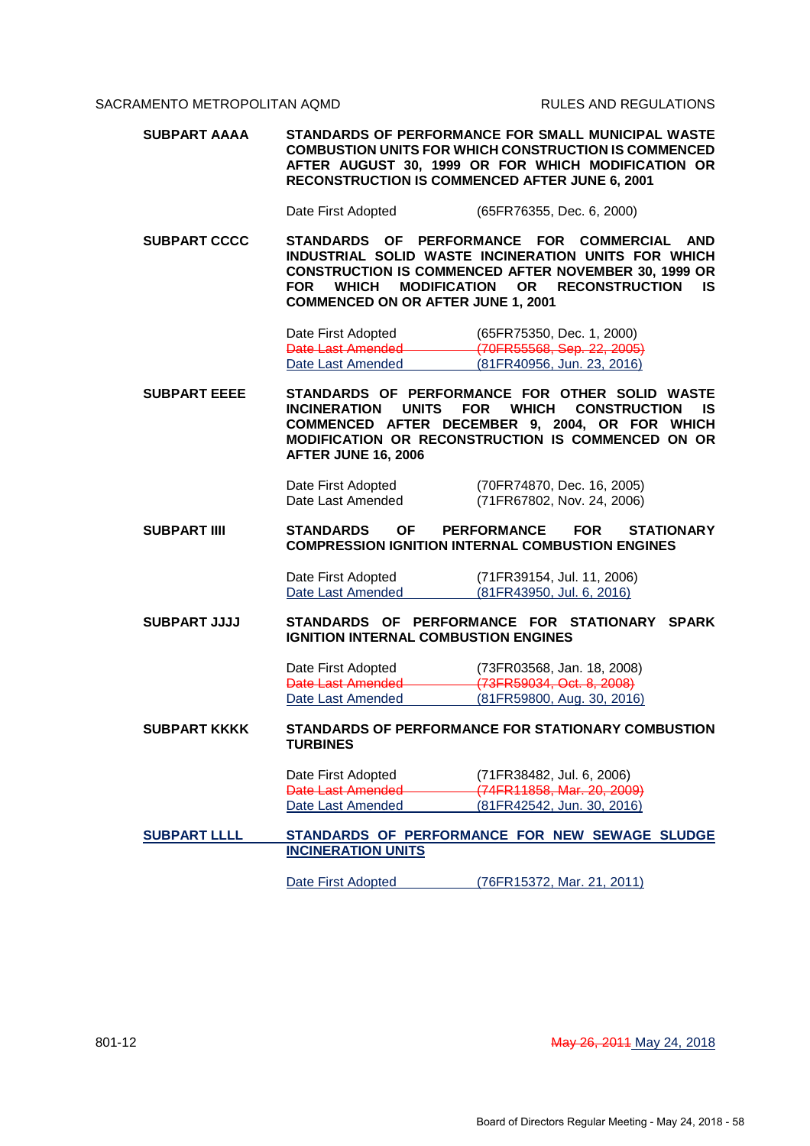**SUBPART AAAA STANDARDS OF PERFORMANCE FOR SMALL MUNICIPAL WASTE COMBUSTION UNITS FOR WHICH CONSTRUCTION IS COMMENCED AFTER AUGUST 30, 1999 OR FOR WHICH MODIFICATION OR RECONSTRUCTION IS COMMENCED AFTER JUNE 6, 2001**

Date First Adopted (65FR76355, Dec. 6, 2000)

**SUBPART CCCC STANDARDS OF PERFORMANCE FOR COMMERCIAL AND INDUSTRIAL SOLID WASTE INCINERATION UNITS FOR WHICH CONSTRUCTION IS COMMENCED AFTER NOVEMBER 30, 1999 OR FOR WHICH MODIFICATION OR RECONSTRUCTION IS COMMENCED ON OR AFTER JUNE 1, 2001**

> Date First Adopted (65FR75350, Dec. 1, 2000) Date Last Amended (70FR55568, Sep. 22, 2005)<br>Date Last Amended (81FR40956, Jun. 23, 2016) (81FR40956, Jun. 23, 2016)

**SUBPART EEEE STANDARDS OF PERFORMANCE FOR OTHER SOLID WASTE INCINERATION UNITS FOR WHICH CONSTRUCTION IS COMMENCED AFTER DECEMBER 9, 2004, OR FOR WHICH MODIFICATION OR RECONSTRUCTION IS COMMENCED ON OR AFTER JUNE 16, 2006**

Date First Adopted (70FR74870, Dec. 16, 2005) Date Last Amended (71FR67802, Nov. 24, 2006)

**SUBPART IIII STANDARDS OF PERFORMANCE FOR STATIONARY COMPRESSION IGNITION INTERNAL COMBUSTION ENGINES**

> Date First Adopted (71FR39154, Jul. 11, 2006) Date Last Amended (81FR43950, Jul. 6, 2016)

**SUBPART JJJJ STANDARDS OF PERFORMANCE FOR STATIONARY SPARK IGNITION INTERNAL COMBUSTION ENGINES**

> Date First Adopted (73FR03568, Jan. 18, 2008) Date Last Amended (73FR59034, Oct. 8, 2008) Date Last Amended (81FR59800, Aug. 30, 2016)

**SUBPART KKKK STANDARDS OF PERFORMANCE FOR STATIONARY COMBUSTION TURBINES**

| Date First Adopted | (71FR38482, Jul. 6, 2006)     |
|--------------------|-------------------------------|
| Date Last Amended  | $-(74FR11858, Mar. 20, 2009)$ |
| Date Last Amended  | (81FR42542, Jun. 30, 2016)    |

## **SUBPART LLLL STANDARDS OF PERFORMANCE FOR NEW SEWAGE SLUDGE INCINERATION UNITS**

Date First Adopted (76FR15372, Mar. 21, 2011)